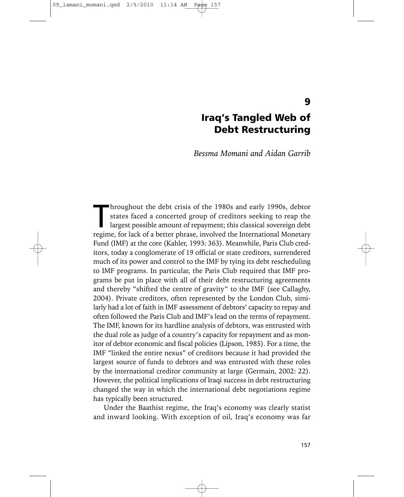# Iraq's Tangled Web of Debt Restructuring

9

*Bessma Momani and Aidan Garrib*

Intoughout the debt crisis of the 1980s and early 1990s, debtor states faced a concerted group of creditors seeking to reap the largest possible amount of repayment; this classical sovereign debt regime, for lack of a bett hroughout the debt crisis of the 1980s and early 1990s, debtor states faced a concerted group of creditors seeking to reap the largest possible amount of repayment; this classical sovereign debt Fund (IMF) at the core (Kahler, 1993: 363). Meanwhile, Paris Club creditors, today a conglomerate of 19 official or state creditors, surrendered much of its power and control to the IMF by tying its debt rescheduling to IMF programs. In particular, the Paris Club required that IMF programs be put in place with all of their debt restructuring agreements and thereby "shifted the centre of gravity" to the IMF (see Callaghy, 2004). Private creditors, often represented by the London Club, similarly had a lot of faith in IMF assessment of debtors' capacity to repay and often followed the Paris Club and IMF's lead on the terms of repayment. The IMF, known for its hardline analysis of debtors, was entrusted with the dual role as judge of a country's capacity for repayment and as monitor of debtor economic and fiscal policies (Lipson, 1985). For a time, the IMF "linked the entire nexus" of creditors because it had provided the largest source of funds to debtors and was entrusted with these roles by the international creditor community at large (Germain, 2002: 22). However, the political implications of Iraqi success in debt restructuring changed the way in which the international debt negotiations regime has typically been structured.

Under the Baathist regime, the Iraq's economy was clearly statist and inward looking. With exception of oil, Iraq's economy was far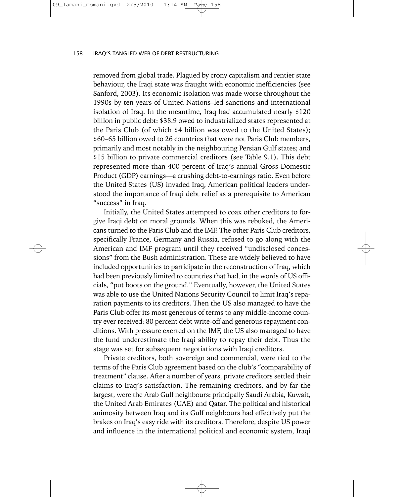removed from global trade. Plagued by crony capitalism and rentier state behaviour, the Iraqi state was fraught with economic inefficiencies (see Sanford, 2003). Its economic isolation was made worse throughout the 1990s by ten years of United Nations–led sanctions and international isolation of Iraq. In the meantime, Iraq had accumulated nearly \$120 billion in public debt: \$38.9 owed to industrialized states represented at the Paris Club (of which \$4 billion was owed to the United States); \$60–65 billion owed to 26 countries that were not Paris Club members, primarily and most notably in the neighbouring Persian Gulf states; and \$15 billion to private commercial creditors (see Table 9.1). This debt represented more than 400 percent of Iraq's annual Gross Domestic Product (GDP) earnings—a crushing debt-to-earnings ratio. Even before the United States (US) invaded Iraq, American political leaders understood the importance of Iraqi debt relief as a prerequisite to American "success" in Iraq.

Initially, the United States attempted to coax other creditors to forgive Iraqi debt on moral grounds. When this was rebuked, the Americans turned to the Paris Club and the IMF. The other Paris Club creditors, specifically France, Germany and Russia, refused to go along with the American and IMF program until they received "undisclosed concessions" from the Bush administration. These are widely believed to have included opportunities to participate in the reconstruction of Iraq, which had been previously limited to countries that had, in the words of US officials, "put boots on the ground." Eventually, however, the United States was able to use the United Nations Security Council to limit Iraq's reparation payments to its creditors. Then the US also managed to have the Paris Club offer its most generous of terms to any middle-income country ever received: 80 percent debt write-off and generous repayment conditions. With pressure exerted on the IMF, the US also managed to have the fund underestimate the Iraqi ability to repay their debt. Thus the stage was set for subsequent negotiations with Iraqi creditors.

Private creditors, both sovereign and commercial, were tied to the terms of the Paris Club agreement based on the club's "comparability of treatment" clause. After a number of years, private creditors settled their claims to Iraq's satisfaction. The remaining creditors, and by far the largest, were the Arab Gulf neighbours: principally Saudi Arabia, Kuwait, the United Arab Emirates (UAE) and Qatar. The political and historical animosity between Iraq and its Gulf neighbours had effectively put the brakes on Iraq's easy ride with its creditors. Therefore, despite US power and influence in the international political and economic system, Iraqi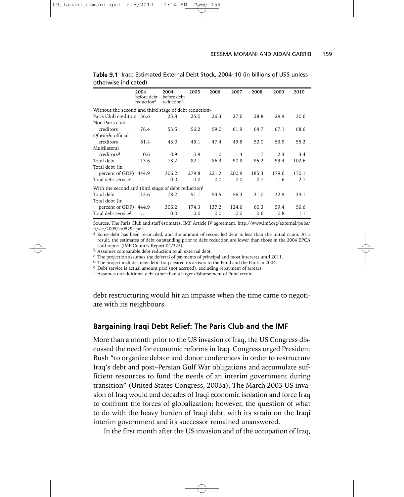|                                                                   | 2004<br>before debt<br>reduction <sup>a</sup> | 2004<br>before debt<br>reductionb | 2005  | 2006  | 2007  | 2008  | 2009  | 2010  |  |  |  |
|-------------------------------------------------------------------|-----------------------------------------------|-----------------------------------|-------|-------|-------|-------|-------|-------|--|--|--|
| Without the second and third stage of debt reduction <sup>c</sup> |                                               |                                   |       |       |       |       |       |       |  |  |  |
| Paris Club creditors 36.6                                         |                                               | 23.8                              | 25.0  | 26.3  | 27.6  | 28.8  | 29.9  | 30.6  |  |  |  |
| Non Paris club                                                    |                                               |                                   |       |       |       |       |       |       |  |  |  |
| creditors                                                         | 76.4                                          | 53.5                              | 56.2  | 59.0  | 61.9  | 64.7  | 67.1  | 68.6  |  |  |  |
| Of which: official                                                |                                               |                                   |       |       |       |       |       |       |  |  |  |
| creditors                                                         | 61.4                                          | 43.0                              | 45.1  | 47.4  | 49.8  | 52.0  | 53.9  | 55.2  |  |  |  |
| Multilateral                                                      |                                               |                                   |       |       |       |       |       |       |  |  |  |
| creditors <sup>d</sup>                                            | 0.6                                           | 0.9                               | 0.9   | 1.0   | 1.3   | 1.7   | 2.4   | 3.4   |  |  |  |
| Total debt                                                        | 113.6                                         | 78.2                              | 82.1  | 86.3  | 90.8  | 95.2  | 99.4  | 102.6 |  |  |  |
| Total debt (in                                                    |                                               |                                   |       |       |       |       |       |       |  |  |  |
| percent of GDP) 444.9                                             |                                               | 306.2                             | 279.8 | 221.2 | 200.9 | 185.3 | 179.6 | 170.1 |  |  |  |
| Total debt service <sup>e</sup>                                   |                                               | 0.0                               | 0.0   | 0.0   | 0.0   | 0.7   | 1.6   | 2.7   |  |  |  |
| With the second and third stage of debt reductionf                |                                               |                                   |       |       |       |       |       |       |  |  |  |
| Total debt                                                        | 113.6                                         | 78.2                              | 51.1  | 53.5  | 56.3  | 31.0  | 32.9  | 34.1  |  |  |  |
| Total debt (in                                                    |                                               |                                   |       |       |       |       |       |       |  |  |  |
| percent of GDP) 444.9                                             |                                               | 306.2                             | 174.3 | 137.2 | 124.6 | 60.3  | 59.4  | 56.6  |  |  |  |
| Total debt servicef                                               |                                               | 0.0                               | 0.0   | 0.0   | 0.0   | 0.6   | 0.8   | 1.1   |  |  |  |
|                                                                   |                                               |                                   |       |       |       |       |       |       |  |  |  |

Table 9.1 Iraq: Estimated External Debt Stock, 2004–10 (in billions of US\$ unless otherwise indicated)

Sources: The Paris Club and staff estimates; IMF Article IV agreement. http://www.imf.org/external/pubs/ ft/scr/2005/cr05294.pdf.

a Some debt has been reconciled, and the amount of reconciled debt is less than the initial claim. As a result, the estimates of debt outstanding prior to debt reduction are lower than those in the 2004 EPCA staff report (IMF Country Report 04/325).

b Assumes comparable debt reduction to all external debt.

 $\rm ^c$  The projection assumes the deferral of payments of principal and most interests until 2011.

d The project includes new debt. Iraq cleared its arrears to the Fund and the Bank in 2004.

e Debt service is actual amount paid (not accrued), excluding repayment of arrears.

f Assumes no additional debt other than a larger disbursement of Fund credit.

debt restructuring would hit an impasse when the time came to negotiate with its neighbours.

# Bargaining Iraqi Debt Relief: The Paris Club and the IMF

More than a month prior to the US invasion of Iraq, the US Congress discussed the need for economic reforms in Iraq. Congress urged President Bush "to organize debtor and donor conferences in order to restructure Iraq's debt and post–Persian Gulf War obligations and accumulate sufficient resources to fund the needs of an interim government during transition" (United States Congress, 2003a). The March 2003 US invasion of Iraq would end decades of Iraqi economic isolation and force Iraq to confront the forces of globalization; however, the question of what to do with the heavy burden of Iraqi debt, with its strain on the Iraqi interim government and its successor remained unanswered.

In the first month after the US invasion and of the occupation of Iraq,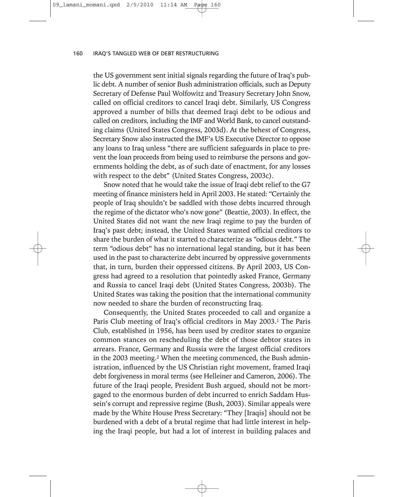the US government sent initial signals regarding the future of Iraq's public debt. A number of senior Bush administration officials, such as Deputy Secretary of Defense Paul Wolfowitz and Treasury Secretary John Snow, called on official creditors to cancel Iraqi debt. Similarly, US Congress approved a number of bills that deemed Iraqi debt to be odious and called on creditors, including the IMF and World Bank, to cancel outstanding claims (United States Congress, 2003d). At the behest of Congress, Secretary Snow also instructed the IMF's US Executive Director to oppose any loans to Iraq unless "there are sufficient safeguards in place to prevent the loan proceeds from being used to reimburse the persons and governments holding the debt, as of such date of enactment, for any losses with respect to the debt" (United States Congress, 2003c).

Snow noted that he would take the issue of Iraqi debt relief to the G7 meeting of finance ministers held in April 2003. He stated: "Certainly the people of Iraq shouldn't be saddled with those debts incurred through the regime of the dictator who's now gone" (Beattie, 2003). In effect, the United States did not want the new Iraqi regime to pay the burden of Iraq's past debt; instead, the United States wanted official creditors to share the burden of what it started to characterize as "odious debt." The term "odious debt" has no international legal standing, but it has been used in the past to characterize debt incurred by oppressive governments that, in turn, burden their oppressed citizens. By April 2003, US Congress had agreed to a resolution that pointedly asked France, Germany and Russia to cancel Iraqi debt (United States Congress, 2003b). The United States was taking the position that the international community now needed to share the burden of reconstructing Iraq.

Consequently, the United States proceeded to call and organize a Paris Club meeting of Iraq's official creditors in May 2003.1 The Paris Club, established in 1956, has been used by creditor states to organize common stances on rescheduling the debt of those debtor states in arrears. France, Germany and Russia were the largest official creditors in the 2003 meeting.<sup>2</sup> When the meeting commenced, the Bush administration, influenced by the US Christian right movement, framed Iraqi debt forgiveness in moral terms (see Helleiner and Cameron, 2006). The future of the Iraqi people, President Bush argued, should not be mortgaged to the enormous burden of debt incurred to enrich Saddam Hussein's corrupt and repressive regime (Bush, 2003). Similar appeals were made by the White House Press Secretary: "They [Iraqis] should not be burdened with a debt of a brutal regime that had little interest in helping the Iraqi people, but had a lot of interest in building palaces and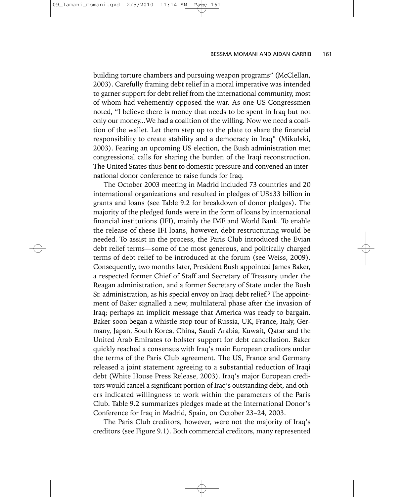#### BESSMA MOMANI AND AIDAN GARRIB 161

building torture chambers and pursuing weapon programs" (McClellan, 2003). Carefully framing debt relief in a moral imperative was intended to garner support for debt relief from the international community, most of whom had vehemently opposed the war. As one US Congressmen noted, "I believe there is money that needs to be spent in Iraq but not only our money...We had a coalition of the willing. Now we need a coalition of the wallet. Let them step up to the plate to share the financial responsibility to create stability and a democracy in Iraq" (Mikulski, 2003). Fearing an upcoming US election, the Bush administration met congressional calls for sharing the burden of the Iraqi reconstruction. The United States thus bent to domestic pressure and convened an international donor conference to raise funds for Iraq.

The October 2003 meeting in Madrid included 73 countries and 20 international organizations and resulted in pledges of US\$33 billion in grants and loans (see Table 9.2 for breakdown of donor pledges). The majority of the pledged funds were in the form of loans by international financial institutions (IFI), mainly the IMF and World Bank. To enable the release of these IFI loans, however, debt restructuring would be needed. To assist in the process, the Paris Club introduced the Evian debt relief terms—some of the most generous, and politically charged terms of debt relief to be introduced at the forum (see Weiss, 2009). Consequently, two months later, President Bush appointed James Baker, a respected former Chief of Staff and Secretary of Treasury under the Reagan administration, and a former Secretary of State under the Bush Sr. administration, as his special envoy on Iraqi debt relief.<sup>3</sup> The appointment of Baker signalled a new, multilateral phase after the invasion of Iraq; perhaps an implicit message that America was ready to bargain. Baker soon began a whistle stop tour of Russia, UK, France, Italy, Germany, Japan, South Korea, China, Saudi Arabia, Kuwait, Qatar and the United Arab Emirates to bolster support for debt cancellation. Baker quickly reached a consensus with Iraq's main European creditors under the terms of the Paris Club agreement. The US, France and Germany released a joint statement agreeing to a substantial reduction of Iraqi debt (White House Press Release, 2003). Iraq's major European creditors would cancel a significant portion of Iraq's outstanding debt, and others indicated willingness to work within the parameters of the Paris Club. Table 9.2 summarizes pledges made at the International Donor's Conference for Iraq in Madrid, Spain, on October 23–24, 2003.

The Paris Club creditors, however, were not the majority of Iraq's creditors (see Figure 9.1). Both commercial creditors, many represented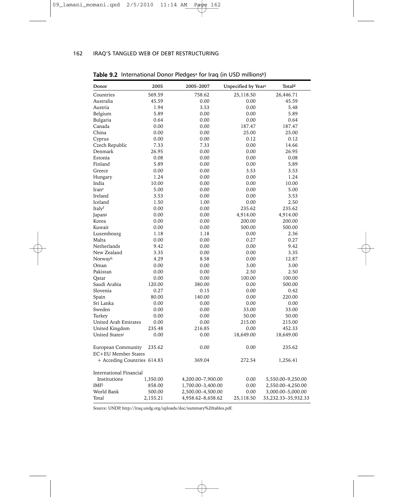| Donor                                     | 2005     | 2005-2007         | Unpecified by Year <sup>c</sup> | Total <sup>d</sup>  |
|-------------------------------------------|----------|-------------------|---------------------------------|---------------------|
| Countries                                 | 569.59   | 758.62            | 25,118.50                       | 26,446.71           |
| Australia                                 | 45.59    | 0.00              | 0.00                            | 45.59               |
| Austria                                   | 1.94     | 3.53              | 0.00                            | 5.48                |
| Belgium                                   | 5.89     | 0.00              | 0.00                            | 5.89                |
| Bulgaria                                  | 0.64     | 0.00              | 0.00                            | 0.64                |
| Canada                                    | 0.00     | 0.00              | 187.47                          | 187.47              |
| China                                     | 0.00     | 0.00              | 25.00                           | 25.00               |
| Cyprus                                    | 0.00     | 0.00              | 0.12                            | 0.12                |
| Czech Republic                            | 7.33     | 7.33              | 0.00                            | 14.66               |
| Denmark                                   | 26.95    | 0.00              | 0.00                            | 26.95               |
| Estonia                                   | 0.08     | 0.00              | 0.00                            | 0.08                |
| Finland                                   | 5.89     | 0.00              | 0.00                            | 5.89                |
| Greece                                    | 0.00     | 0.00              | 3.53                            | 3.53                |
| Hungary                                   | 1.24     | 0.00              | 0.00                            | 1.24                |
| India                                     | 10.00    | 0.00              | 0.00                            | 10.00               |
| Irane                                     | 5.00     | 0.00              | 0.00                            | 5.00                |
| Ireland                                   | 3.53     | 0.00              | 0.00                            | 3.53                |
| Iceland                                   | 1.50     | 1.00              | 0.00                            | 2.50                |
| Italyf                                    | 0.00     | 0.00              | 235.62                          | 235.62              |
| Japan <sup>g</sup>                        | 0.00     | 0.00              | 4,914.00                        | 4,914.00            |
| Korea                                     | 0.00     | 0.00              | 200.00                          | 200.00              |
| Kuwait                                    | 0.00     | 0.00              | 500.00                          | 500.00              |
|                                           | 1.18     | 1.18              | 0.00                            | 2.36                |
| Luxembourg<br>Malta                       | 0.00     | 0.00              | 0.27                            | 0.27                |
| Netherlands                               | 9.42     | 0.00              | 0.00                            | 9.42                |
| New Zealand                               | 3.35     |                   |                                 | 3.35                |
|                                           |          | 0.00              | 0.00                            |                     |
| Norwayh                                   | 4.29     | 8.58              | 0.00                            | 12.87               |
| Oman                                      | 0.00     | 0.00              | 3.00                            | 3.00                |
| Pakistan                                  | 0.00     | 0.00              | 2.50                            | 2.50                |
| Qatar                                     | 0.00     | 0.00              | 100.00                          | 100.00              |
| Saudi Arabia                              | 120.00   | 380.00            | 0.00                            | 500.00              |
| Slovenia                                  | 0.27     | 0.15              | 0.00                            | 0.42                |
| Spain                                     | 80.00    | 140.00            | 0.00                            | 220.00              |
| Sri Lanka                                 | 0.00     | 0.00              | 0.00                            | 0.00                |
| Sweden                                    | 0.00     | 0.00              | 33.00                           | 33.00               |
| Turkey                                    | 0.00     | 0.00              | 50.00                           | 50.00               |
| United Arab Emirates                      | 0.00     | 0.00              | 215.00                          | 215.00              |
| United Kingdom                            | 235.48   | 216.85            | 0.00                            | 452.33              |
| United Statesi                            | 0.00     | 0.00              | 18,649.00                       | 18,649.00           |
| European Community<br>EC+EU Member States | 235.62   | 0.00              | 0.00                            | 235.62              |
| + Acceding Countries 614.83               |          | 369.04            | 272.54                          | 1,256.41            |
| International Financial                   |          |                   |                                 |                     |
| Institutions                              | 1,350.00 | 4,200.00-7,900.00 | 0.00                            | 5,550.00 - 9,250.00 |
| IMF                                       | 858.00   | 1,700.00-3,400.00 | 0.00                            | 2,550.00-4,250.00   |
| World Bank                                | 500.00   | 2,500.00-4,500.00 | 0.00                            | 3,000.00 - 5,000.00 |
| Total                                     | 2,155.21 | 4,958.62-8,658.62 | 25,118.50                       | 33,232.33–35,932.33 |

Table 9.2 International Donor Pledges<sup>a</sup> for Iraq (in USD millions<sup>b</sup>)

Source: UNDP, http://iraq.undg.org/uploads/doc/summary%20tables.pdf.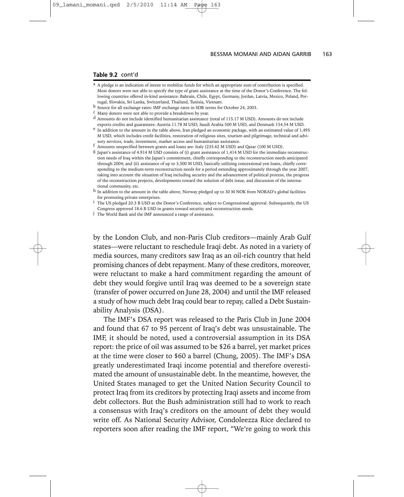## Table 9.2 cont'd

- $^{\rm a}$  A pledge is an indication of intent to mobilize funds for which an appropriate sum of contribution is specified. Most donors were not able to specify the type of grant assistance at the time of the Donor's Conference. The following countries offered in-kind assistance: Bahrain, Chile, Egypt, Germany, Jordan, Latvia, Mexico, Poland, Portugal, Slovakia, Sri Lanka, Switzerland, Thailand, Tunisia, Vietnam.
- b Source for all exchange rates: IMF exchange rates in SDR terms for October 24, 2003.
- c Many donors were not able to provide a breakdown by year.
- d Amounts do not include identified humanitarian assistance (total of 115.17 M USD). Amounts do not include exports credits and guarantees: Austria 11.78 M USD, Saudi Arabia 500 M USD, and Denmark 154.54 M USD.
- e In addition to the amount in the table above, Iran pledged an economic package, with an estimated value of 1,495 M USD, which includes credit facilities, restoration of religious sites, tourism and pilgrimage, technical and advisory services, trade, investment, market access and humanitarian assistance.
- f Amounts unspecified between grants and loans are: Italy (235.62 M USD) and Qatar (100 M USD).
- g Japan's assistance of 4.914 M USD consists of (i) grant assistance of 1,414 M USD for the immediate reconstruction needs of Iraq within the Japan's commitment, chiefly corresponding to the reconstruction needs anticipated through 2004; and (ii) assistance of up to 3,500 M USD, basically utilizing concessional yen loans, chiefly corresponding to the medium-term reconstruction needs for a period extending approximately through the year 2007, taking into account the situation of Iraq including security and the advancement of political process, the progress of the reconstruction projects, developments toward the solution of debt issue, and discussion of the international community, etc.
- h In addition to the amount in the table above, Norway pledged up to 30 M NOK from NORAD's global facilities for promoting private enterprises.
- i The US pledged 20.3 B USD at the Donor's Conference, subject to Congressional approval. Subsequently, the US Congress approved 18.6 B USD in grants toward security and reconstruction needs.
- j The World Bank and the IMF announced a range of assistance.

by the London Club, and non-Paris Club creditors—mainly Arab Gulf states—were reluctant to reschedule Iraqi debt. As noted in a variety of media sources, many creditors saw Iraq as an oil-rich country that held promising chances of debt repayment. Many of these creditors, moreover, were reluctant to make a hard commitment regarding the amount of debt they would forgive until Iraq was deemed to be a sovereign state (transfer of power occurred on June 28, 2004) and until the IMF released a study of how much debt Iraq could bear to repay, called a Debt Sustainability Analysis (DSA).

The IMF's DSA report was released to the Paris Club in June 2004 and found that 67 to 95 percent of Iraq's debt was unsustainable. The IMF, it should be noted, used a controversial assumption in its DSA report: the price of oil was assumed to be \$26 a barrel, yet market prices at the time were closer to \$60 a barrel (Chung, 2005). The IMF's DSA greatly underestimated Iraqi income potential and therefore overestimated the amount of unsustainable debt. In the meantime, however, the United States managed to get the United Nation Security Council to protect Iraq from its creditors by protecting Iraqi assets and income from debt collectors. But the Bush administration still had to work to reach a consensus with Iraq's creditors on the amount of debt they would write off. As National Security Advisor, Condoleezza Rice declared to reporters soon after reading the IMF report, "We're going to work this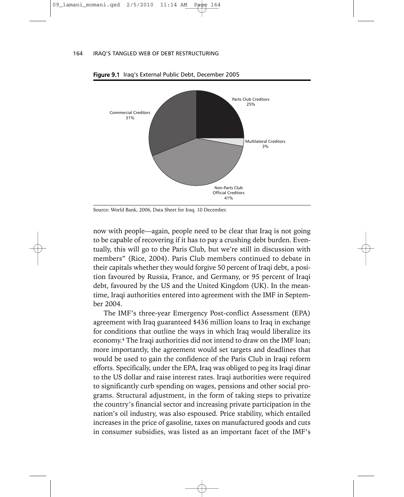

Figure 9.1 Iraq's External Public Debt, December 2005

now with people—again, people need to be clear that Iraq is not going to be capable of recovering if it has to pay a crushing debt burden. Eventually, this will go to the Paris Club, but we're still in discussion with members" (Rice, 2004). Paris Club members continued to debate in their capitals whether they would forgive 50 percent of Iraqi debt, a position favoured by Russia, France, and Germany, or 95 percent of Iraqi debt, favoured by the US and the United Kingdom (UK). In the meantime, Iraqi authorities entered into agreement with the IMF in September 2004.

The IMF's three-year Emergency Post-conflict Assessment (EPA) agreement with Iraq guaranteed \$436 million loans to Iraq in exchange for conditions that outline the ways in which Iraq would liberalize its economy.4 The Iraqi authorities did not intend to draw on the IMF loan; more importantly, the agreement would set targets and deadlines that would be used to gain the confidence of the Paris Club in Iraqi reform efforts. Specifically, under the EPA, Iraq was obliged to peg its Iraqi dinar to the US dollar and raise interest rates. Iraqi authorities were required to significantly curb spending on wages, pensions and other social programs. Structural adjustment, in the form of taking steps to privatize the country's financial sector and increasing private participation in the nation's oil industry, was also espoused. Price stability, which entailed increases in the price of gasoline, taxes on manufactured goods and cuts in consumer subsidies, was listed as an important facet of the IMF's

Source: World Bank, 2006, Data Sheet for Iraq. 10 December.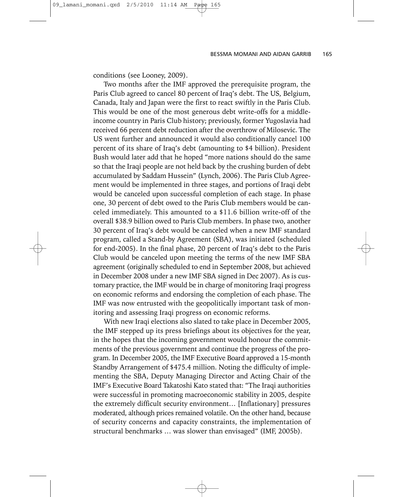conditions (see Looney, 2009).

Two months after the IMF approved the prerequisite program, the Paris Club agreed to cancel 80 percent of Iraq's debt. The US, Belgium, Canada, Italy and Japan were the first to react swiftly in the Paris Club. This would be one of the most generous debt write-offs for a middleincome country in Paris Club history; previously, former Yugoslavia had received 66 percent debt reduction after the overthrow of Milosevic. The US went further and announced it would also conditionally cancel 100 percent of its share of Iraq's debt (amounting to \$4 billion). President Bush would later add that he hoped "more nations should do the same so that the Iraqi people are not held back by the crushing burden of debt accumulated by Saddam Hussein" (Lynch, 2006). The Paris Club Agreement would be implemented in three stages, and portions of Iraqi debt would be canceled upon successful completion of each stage. In phase one, 30 percent of debt owed to the Paris Club members would be canceled immediately. This amounted to a \$11.6 billion write-off of the overall \$38.9 billion owed to Paris Club members. In phase two, another 30 percent of Iraq's debt would be canceled when a new IMF standard program, called a Stand-by Agreement (SBA), was initiated (scheduled for end-2005). In the final phase, 20 percent of Iraq's debt to the Paris Club would be canceled upon meeting the terms of the new IMF SBA agreement (originally scheduled to end in September 2008, but achieved in December 2008 under a new IMF SBA signed in Dec 2007). As is customary practice, the IMF would be in charge of monitoring Iraqi progress on economic reforms and endorsing the completion of each phase. The IMF was now entrusted with the geopolitically important task of monitoring and assessing Iraqi progress on economic reforms.

With new Iraqi elections also slated to take place in December 2005, the IMF stepped up its press briefings about its objectives for the year, in the hopes that the incoming government would honour the commitments of the previous government and continue the progress of the program. In December 2005, the IMF Executive Board approved a 15-month Standby Arrangement of \$475.4 million. Noting the difficulty of implementing the SBA, Deputy Managing Director and Acting Chair of the IMF's Executive Board Takatoshi Kato stated that: "The Iraqi authorities were successful in promoting macroeconomic stability in 2005, despite the extremely difficult security environment… [Inflationary] pressures moderated, although prices remained volatile. On the other hand, because of security concerns and capacity constraints, the implementation of structural benchmarks … was slower than envisaged" (IMF, 2005b).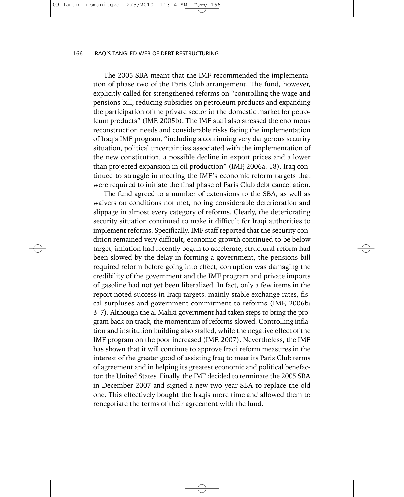The 2005 SBA meant that the IMF recommended the implementation of phase two of the Paris Club arrangement. The fund, however, explicitly called for strengthened reforms on "controlling the wage and pensions bill, reducing subsidies on petroleum products and expanding the participation of the private sector in the domestic market for petroleum products" (IMF, 2005b). The IMF staff also stressed the enormous reconstruction needs and considerable risks facing the implementation of Iraq's IMF program, "including a continuing very dangerous security situation, political uncertainties associated with the implementation of the new constitution, a possible decline in export prices and a lower than projected expansion in oil production" (IMF, 2006a: 18). Iraq continued to struggle in meeting the IMF's economic reform targets that were required to initiate the final phase of Paris Club debt cancellation.

The fund agreed to a number of extensions to the SBA, as well as waivers on conditions not met, noting considerable deterioration and slippage in almost every category of reforms. Clearly, the deteriorating security situation continued to make it difficult for Iraqi authorities to implement reforms. Specifically, IMF staff reported that the security condition remained very difficult, economic growth continued to be below target, inflation had recently begun to accelerate, structural reform had been slowed by the delay in forming a government, the pensions bill required reform before going into effect, corruption was damaging the credibility of the government and the IMF program and private imports of gasoline had not yet been liberalized. In fact, only a few items in the report noted success in Iraqi targets: mainly stable exchange rates, fiscal surpluses and government commitment to reforms (IMF, 2006b: 3–7). Although the al-Maliki government had taken steps to bring the program back on track, the momentum of reforms slowed. Controlling inflation and institution building also stalled, while the negative effect of the IMF program on the poor increased (IMF, 2007). Nevertheless, the IMF has shown that it will continue to approve Iraqi reform measures in the interest of the greater good of assisting Iraq to meet its Paris Club terms of agreement and in helping its greatest economic and political benefactor: the United States. Finally, the IMF decided to terminate the 2005 SBA in December 2007 and signed a new two-year SBA to replace the old one. This effectively bought the Iraqis more time and allowed them to renegotiate the terms of their agreement with the fund.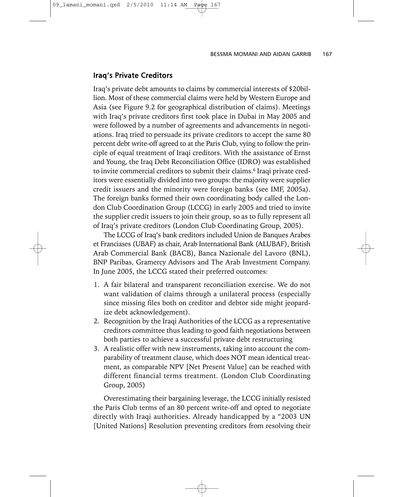# Iraq's Private Creditors

Iraq's private debt amounts to claims by commercial interests of \$20billion. Most of these commercial claims were held by Western Europe and Asia (see Figure 9.2 for geographical distribution of claims). Meetings with Iraq's private creditors first took place in Dubai in May 2005 and were followed by a number of agreements and advancements in negotiations. Iraq tried to persuade its private creditors to accept the same 80 percent debt write-off agreed to at the Paris Club, vying to follow the principle of equal treatment of Iraqi creditors. With the assistance of Ernst and Young, the Iraq Debt Reconciliation Office (IDRO) was established to invite commercial creditors to submit their claims.6 Iraqi private creditors were essentially divided into two groups: the majority were supplier credit issuers and the minority were foreign banks (see IMF, 2005a). The foreign banks formed their own coordinating body called the London Club Coordination Group (LCCG) in early 2005 and tried to invite the supplier credit issuers to join their group, so as to fully represent all of Iraq's private creditors (London Club Coordinating Group, 2005).

The LCCG of Iraq's bank creditors included Union de Banques Arabes et Franciases (UBAF) as chair, Arab International Bank (ALUBAF), British Arab Commercial Bank (BACB), Banca Nazionale del Lavoro (BNL), BNP Paribas, Gramercy Advisors and The Arab Investment Company. In June 2005, the LCCG stated their preferred outcomes:

- 1. A fair bilateral and transparent reconciliation exercise. We do not want validation of claims through a unilateral process (especially since missing files both on creditor and debtor side might jeopardize debt acknowledgement).
- 2. Recognition by the Iraqi Authorities of the LCCG as a representative creditors committee thus leading to good faith negotiations between both parties to achieve a successful private debt restructuring
- 3. A realistic offer with new instruments, taking into account the comparability of treatment clause, which does NOT mean identical treatment, as comparable NPV [Net Present Value] can be reached with different financial terms treatment. (London Club Coordinating Group, 2005)

Overestimating their bargaining leverage, the LCCG initially resisted the Paris Club terms of an 80 percent write-off and opted to negotiate directly with Iraqi authorities. Already handicapped by a "2003 UN [United Nations] Resolution preventing creditors from resolving their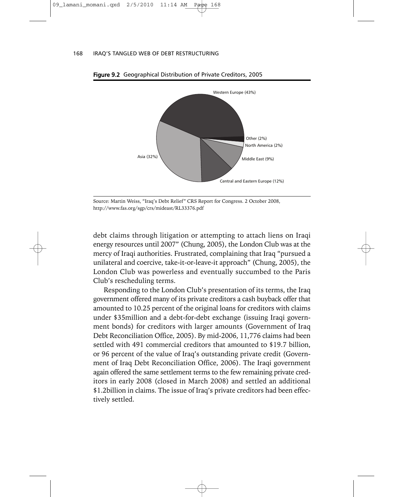

Figure 9.2 Geographical Distribution of Private Creditors, 2005

debt claims through litigation or attempting to attach liens on Iraqi energy resources until 2007" (Chung, 2005), the London Club was at the mercy of Iraqi authorities. Frustrated, complaining that Iraq "pursued a unilateral and coercive, take-it-or-leave-it approach" (Chung, 2005), the London Club was powerless and eventually succumbed to the Paris Club's rescheduling terms.

Responding to the London Club's presentation of its terms, the Iraq government offered many of its private creditors a cash buyback offer that amounted to 10.25 percent of the original loans for creditors with claims under \$35million and a debt-for-debt exchange (issuing Iraqi government bonds) for creditors with larger amounts (Government of Iraq Debt Reconciliation Office, 2005). By mid-2006, 11,776 claims had been settled with 491 commercial creditors that amounted to \$19.7 billion, or 96 percent of the value of Iraq's outstanding private credit (Government of Iraq Debt Reconciliation Office, 2006). The Iraqi government again offered the same settlement terms to the few remaining private creditors in early 2008 (closed in March 2008) and settled an additional \$1.2billion in claims. The issue of Iraq's private creditors had been effectively settled.

Source: Martin Weiss, "Iraq's Debt Relief" CRS Report for Congress. 2 October 2008, http://www.fas.org/sgp/crs/mideast/RL33376.pdf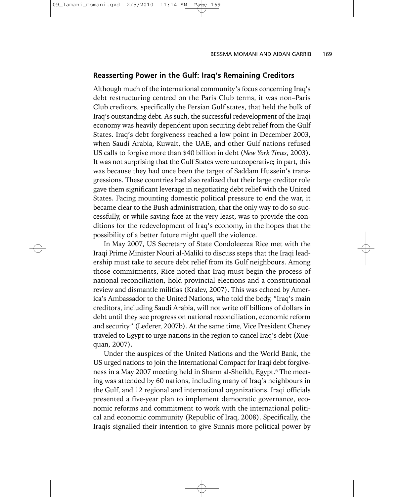# Reasserting Power in the Gulf: Iraq's Remaining Creditors

Although much of the international community's focus concerning Iraq's debt restructuring centred on the Paris Club terms, it was non–Paris Club creditors, specifically the Persian Gulf states, that held the bulk of Iraq's outstanding debt. As such, the successful redevelopment of the Iraqi economy was heavily dependent upon securing debt relief from the Gulf States. Iraq's debt forgiveness reached a low point in December 2003, when Saudi Arabia, Kuwait, the UAE, and other Gulf nations refused US calls to forgive more than \$40 billion in debt (*New York Times*, 2003). It was not surprising that the Gulf States were uncooperative; in part, this was because they had once been the target of Saddam Hussein's transgressions. These countries had also realized that their large creditor role gave them significant leverage in negotiating debt relief with the United States. Facing mounting domestic political pressure to end the war, it became clear to the Bush administration, that the only way to do so successfully, or while saving face at the very least, was to provide the conditions for the redevelopment of Iraq's economy, in the hopes that the possibility of a better future might quell the violence.

In May 2007, US Secretary of State Condoleezza Rice met with the Iraqi Prime Minister Nouri al-Maliki to discuss steps that the Iraqi leadership must take to secure debt relief from its Gulf neighbours. Among those commitments, Rice noted that Iraq must begin the process of national reconciliation, hold provincial elections and a constitutional review and dismantle militias (Kralev, 2007). This was echoed by America's Ambassador to the United Nations, who told the body, "Iraq's main creditors, including Saudi Arabia, will not write off billions of dollars in debt until they see progress on national reconciliation, economic reform and security" (Lederer, 2007b). At the same time, Vice President Cheney traveled to Egypt to urge nations in the region to cancel Iraq's debt (Xuequan, 2007).

Under the auspices of the United Nations and the World Bank, the US urged nations to join the International Compact for Iraqi debt forgiveness in a May 2007 meeting held in Sharm al-Sheikh, Egypt.6 The meeting was attended by 60 nations, including many of Iraq's neighbours in the Gulf, and 12 regional and international organizations. Iraqi officials presented a five-year plan to implement democratic governance, economic reforms and commitment to work with the international political and economic community (Republic of Iraq, 2008). Specifically, the Iraqis signalled their intention to give Sunnis more political power by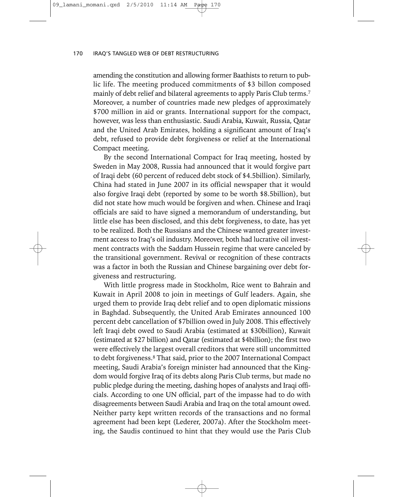09\_lamani\_momani.qxd 2/5/2010

amending the constitution and allowing former Baathists to return to public life. The meeting produced commitments of \$3 billon composed mainly of debt relief and bilateral agreements to apply Paris Club terms.<sup>7</sup> Moreover, a number of countries made new pledges of approximately \$700 million in aid or grants. International support for the compact, however, was less than enthusiastic. Saudi Arabia, Kuwait, Russia, Qatar and the United Arab Emirates, holding a significant amount of Iraq's debt, refused to provide debt forgiveness or relief at the International Compact meeting.

By the second International Compact for Iraq meeting, hosted by Sweden in May 2008, Russia had announced that it would forgive part of Iraqi debt (60 percent of reduced debt stock of \$4.5billion). Similarly, China had stated in June 2007 in its official newspaper that it would also forgive Iraqi debt (reported by some to be worth \$8.5billion), but did not state how much would be forgiven and when. Chinese and Iraqi officials are said to have signed a memorandum of understanding, but little else has been disclosed, and this debt forgiveness, to date, has yet to be realized. Both the Russians and the Chinese wanted greater investment access to Iraq's oil industry. Moreover, both had lucrative oil investment contracts with the Saddam Hussein regime that were canceled by the transitional government. Revival or recognition of these contracts was a factor in both the Russian and Chinese bargaining over debt forgiveness and restructuring.

With little progress made in Stockholm, Rice went to Bahrain and Kuwait in April 2008 to join in meetings of Gulf leaders. Again, she urged them to provide Iraq debt relief and to open diplomatic missions in Baghdad. Subsequently, the United Arab Emirates announced 100 percent debt cancellation of \$7billion owed in July 2008. This effectively left Iraqi debt owed to Saudi Arabia (estimated at \$30billion), Kuwait (estimated at \$27 billion) and Qatar (estimated at \$4billion); the first two were effectively the largest overall creditors that were still uncommitted to debt forgiveness.8 That said, prior to the 2007 International Compact meeting, Saudi Arabia's foreign minister had announced that the Kingdom would forgive Iraq of its debts along Paris Club terms, but made no public pledge during the meeting, dashing hopes of analysts and Iraqi officials. According to one UN official, part of the impasse had to do with disagreements between Saudi Arabia and Iraq on the total amount owed. Neither party kept written records of the transactions and no formal agreement had been kept (Lederer, 2007a). After the Stockholm meeting, the Saudis continued to hint that they would use the Paris Club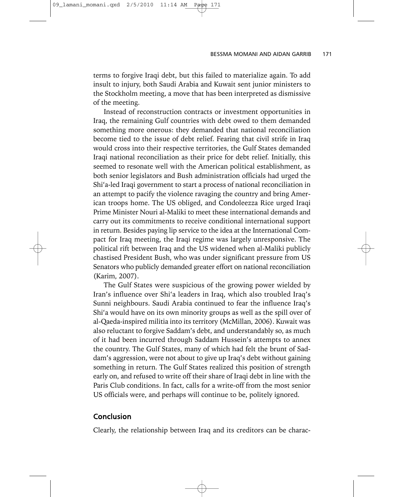terms to forgive Iraqi debt, but this failed to materialize again. To add insult to injury, both Saudi Arabia and Kuwait sent junior ministers to the Stockholm meeting, a move that has been interpreted as dismissive of the meeting.

Instead of reconstruction contracts or investment opportunities in Iraq, the remaining Gulf countries with debt owed to them demanded something more onerous: they demanded that national reconciliation become tied to the issue of debt relief. Fearing that civil strife in Iraq would cross into their respective territories, the Gulf States demanded Iraqi national reconciliation as their price for debt relief. Initially, this seemed to resonate well with the American political establishment, as both senior legislators and Bush administration officials had urged the Shi'a-led Iraqi government to start a process of national reconciliation in an attempt to pacify the violence ravaging the country and bring American troops home. The US obliged, and Condoleezza Rice urged Iraqi Prime Minister Nouri al-Maliki to meet these international demands and carry out its commitments to receive conditional international support in return. Besides paying lip service to the idea at the International Compact for Iraq meeting, the Iraqi regime was largely unresponsive. The political rift between Iraq and the US widened when al-Maliki publicly chastised President Bush, who was under significant pressure from US Senators who publicly demanded greater effort on national reconciliation (Karim, 2007).

The Gulf States were suspicious of the growing power wielded by Iran's influence over Shi'a leaders in Iraq, which also troubled Iraq's Sunni neighbours. Saudi Arabia continued to fear the influence Iraq's Shi'a would have on its own minority groups as well as the spill over of al-Qaeda-inspired militia into its territory (McMillan, 2006). Kuwait was also reluctant to forgive Saddam's debt, and understandably so, as much of it had been incurred through Saddam Hussein's attempts to annex the country. The Gulf States, many of which had felt the brunt of Saddam's aggression, were not about to give up Iraq's debt without gaining something in return. The Gulf States realized this position of strength early on, and refused to write off their share of Iraqi debt in line with the Paris Club conditions. In fact, calls for a write-off from the most senior US officials were, and perhaps will continue to be, politely ignored.

# Conclusion

Clearly, the relationship between Iraq and its creditors can be charac-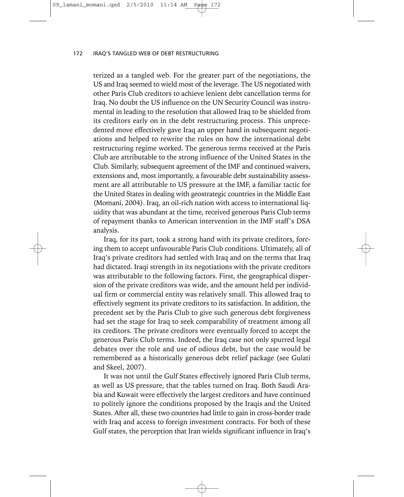terized as a tangled web. For the greater part of the negotiations, the US and Iraq seemed to wield most of the leverage. The US negotiated with other Paris Club creditors to achieve lenient debt cancellation terms for Iraq. No doubt the US influence on the UN Security Council was instrumental in leading to the resolution that allowed Iraq to be shielded from its creditors early on in the debt restructuring process. This unprecedented move effectively gave Iraq an upper hand in subsequent negotiations and helped to rewrite the rules on how the international debt restructuring regime worked. The generous terms received at the Paris Club are attributable to the strong influence of the United States in the Club. Similarly, subsequent agreement of the IMF and continued waivers, extensions and, most importantly, a favourable debt sustainability assessment are all attributable to US pressure at the IMF, a familiar tactic for the United States in dealing with geostrategic countries in the Middle East (Momani, 2004). Iraq, an oil-rich nation with access to international liquidity that was abundant at the time, received generous Paris Club terms of repayment thanks to American intervention in the IMF staff's DSA analysis.

Iraq, for its part, took a strong hand with its private creditors, forcing them to accept unfavourable Paris Club conditions. Ultimately, all of Iraq's private creditors had settled with Iraq and on the terms that Iraq had dictated. Iraqi strength in its negotiations with the private creditors was attributable to the following factors. First, the geographical dispersion of the private creditors was wide, and the amount held per individual firm or commercial entity was relatively small. This allowed Iraq to effectively segment its private creditors to its satisfaction. In addition, the precedent set by the Paris Club to give such generous debt forgiveness had set the stage for Iraq to seek comparability of treatment among all its creditors. The private creditors were eventually forced to accept the generous Paris Club terms. Indeed, the Iraq case not only spurred legal debates over the role and use of odious debt, but the case would be remembered as a historically generous debt relief package (see Gulati and Skeel, 2007).

It was not until the Gulf States effectively ignored Paris Club terms, as well as US pressure, that the tables turned on Iraq. Both Saudi Arabia and Kuwait were effectively the largest creditors and have continued to politely ignore the conditions proposed by the Iraqis and the United States. After all, these two countries had little to gain in cross-border trade with Iraq and access to foreign investment contracts. For both of these Gulf states, the perception that Iran wields significant influence in Iraq's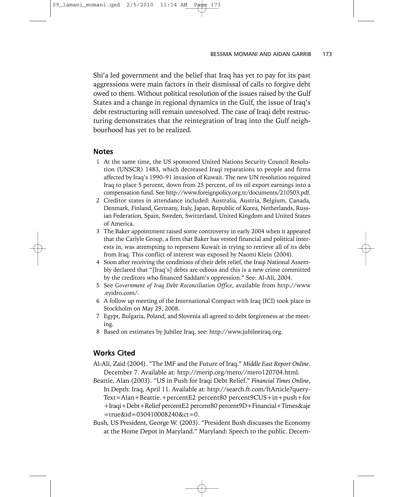### BESSMA MOMANI AND AIDAN GARRIB 173

Shi'a led government and the belief that Iraq has yet to pay for its past aggressions were main factors in their dismissal of calls to forgive debt owed to them. Without political resolution of the issues raised by the Gulf States and a change in regional dynamics in the Gulf, the issue of Iraq's debt restructuring will remain unresolved. The case of Iraqi debt restructuring demonstrates that the reintegration of Iraq into the Gulf neighbourhood has yet to be realized.

# Notes

09\_lamani\_momani.qxd 2/5/2010 11:14

- 1 At the same time, the US sponsored United Nations Security Council Resolution (UNSCR) 1483, which decreased Iraqi reparations to people and firms affected by Iraq's 1990–91 invasion of Kuwait. The new UN resolution required Iraq to place 5 percent, down from 25 percent, of its oil export earnings into a compensation fund. See http://www.foreignpolicy.org.tr/documents/210503.pdf.
- 2 Creditor states in attendance included: Australia, Austria, Belgium, Canada, Denmark, Finland, Germany, Italy, Japan, Republic of Korea, Netherlands, Russian Federation, Spain, Sweden, Switzerland, United Kingdom and United States of America.
- 3 The Baker appointment raised some controversy in early 2004 when it appeared that the Carlyle Group, a firm that Baker has vested financial and political interests in, was attempting to represent Kuwait in trying to retrieve all of its debt from Iraq. This conflict of interest was exposed by Naomi Klein (2004).
- 4 Soon after receiving the conditions of their debt relief, the Iraqi National Assembly declared that "[Iraq's] debts are odious and this is a new crime committed by the creditors who financed Saddam's oppression." See: Al-Ali, 2004.
- 5 See *Government of Iraq Debt Reconciliation Office*, available from http://www .eyidro.com/.
- 6 A follow up meeting of the International Compact with Iraq (ICI) took place in Stockholm on May 29, 2008.
- 7 Egypt, Bulgaria, Poland, and Slovenia all agreed to debt forgiveness at the meeting.
- 8 Based on estimates by Jubilee Iraq, see: http://www.jubileeiraq.org.

# Works Cited

Al-Ali, Zaid (2004). "The IMF and the Future of Iraq." *Middle East Report Online*. December 7. Available at: http://merip.org/mero//mero120704.html.

- Beattie, Alan (2003). "US in Push for Iraqi Debt Relief." *Financial Times Online*, In Depth: Iraq, April 11. Available at: http://search.ft.com/ftArticle?query-Text=Alan+Beattie.+percentE2 percent80 percent9CUS+in+push+for +Iraqi+Debt+Relief percentE2 percent80 percent9D+Financial+Times&aje =true&id=030410008240&ct=0.
- Bush, US President, George W. (2003). "President Bush discusses the Economy at the Home Depot in Maryland." Maryland: Speech to the public. Decem-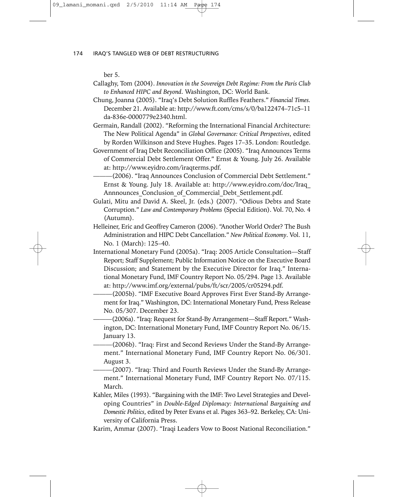ber 5.

- Callaghy, Tom (2004). *Innovation in the Sovereign Debt Regime: From the Paris Club to Enhanced HIPC and Beyond*. Washington, DC: World Bank.
- Chung, Joanna (2005). "Iraq's Debt Solution Ruffles Feathers." *Financial Times.* December 21. Available at: http://www.ft.com/cms/s/0/ba122474–71c5–11 da-836e-0000779e2340.html.
- Germain, Randall (2002). "Reforming the International Financial Architecture: The New Political Agenda" in *Global Governance: Critical Perspectives*, edited by Rorden Wilkinson and Steve Hughes. Pages 17–35. London: Routledge.
- Government of Iraq Debt Reconciliation Office (2005). "Iraq Announces Terms of Commercial Debt Settlement Offer." Ernst & Young. July 26. Available at: http://www.eyidro.com/iraqterms.pdf.
	- ———(2006). "Iraq Announces Conclusion of Commercial Debt Settlement." Ernst & Young. July 18. Available at: http://www.eyidro.com/doc/Iraq\_ Annnounces Conclusion of Commercial Debt Settlement.pdf.
- Gulati, Mitu and David A. Skeel, Jr. (eds.) (2007). "Odious Debts and State Corruption." *Law and Contemporary Problems* (Special Edition). Vol. 70, No. 4 (Autumn).
- Helleiner, Eric and Geoffrey Cameron (2006). "Another World Order? The Bush Administration and HIPC Debt Cancellation." *New Political Economy*. Vol. 11, No. 1 (March): 125–40.
- International Monetary Fund (2005a). "Iraq: 2005 Article Consultation—Staff Report; Staff Supplement; Public Information Notice on the Executive Board Discussion; and Statement by the Executive Director for Iraq." International Monetary Fund, IMF Country Report No. 05/294. Page 13. Available at: http://www.imf.org/external/pubs/ft/scr/2005/cr05294.pdf.
- -(2005b). "IMF Executive Board Approves First Ever Stand-By Arrangement for Iraq." Washington, DC: International Monetary Fund, Press Release No. 05/307. December 23.
- -(2006a). "Iraq: Request for Stand-By Arrangement—Staff Report." Washington, DC: International Monetary Fund, IMF Country Report No. 06/15. January 13.
- ———(2006b). "Iraq: First and Second Reviews Under the Stand-By Arrangement." International Monetary Fund, IMF Country Report No. 06/301. August 3.
- -(2007). "Iraq: Third and Fourth Reviews Under the Stand-By Arrangement." International Monetary Fund, IMF Country Report No. 07/115. March.
- Kahler, Miles (1993). "Bargaining with the IMF: Two Level Strategies and Developing Countries" in *Double-Edged Diplomacy: International Bargaining and Domestic Politics*, edited by Peter Evans et al. Pages 363–92. Berkeley, CA: University of California Press.
- Karim, Ammar (2007). "Iraqi Leaders Vow to Boost National Reconciliation."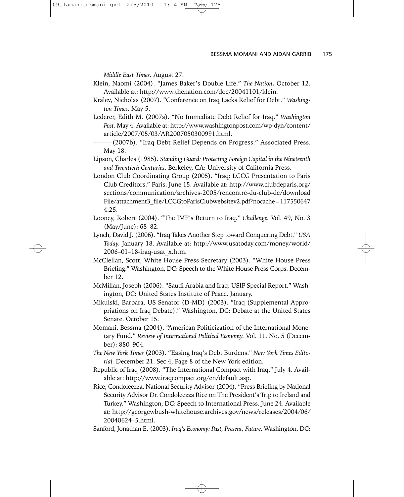*Middle East Times*. August 27.

09\_lamani\_momani.qxd 2/5/2010 11:14

- Klein, Naomi (2004). "James Baker's Double Life**.**" *The Nation***.** October 12. Available at: http://www.thenation.com/doc/20041101/klein.
- Kralev, Nicholas (2007). "Conference on Iraq Lacks Relief for Debt." *Washington Times.* May 5.
- Lederer, Edith M. (2007a). "No Immediate Debt Relief for Iraq." *Washington Post.* May 4. Available at: http://www.washingtonpost.com/wp-dyn/content/ article/2007/05/03/AR2007050300991.html.
- ———(2007b). "Iraq Debt Relief Depends on Progress." Associated Press*.* May 18.
- Lipson, Charles (1985). *Standing Guard: Protecting Foreign Capital in the Nineteenth and Twentieth Centuries*. Berkeley, CA: University of California Press.
- London Club Coordinating Group (2005). "Iraq: LCCG Presentation to Paris Club Creditors." Paris. June 15. Available at: http://www.clubdeparis.org/ sections/communication/archives-2005/rencontre-du-club-de/download File/attachment3\_file/LCCGtoParisClubwebsitev2.pdf?nocache=117550647 4.25.
- Looney, Robert (2004). "The IMF's Return to Iraq." *Challenge.* Vol. 49, No. 3 (May/June): 68–82.
- Lynch, David J. (2006). "Iraq Takes Another Step toward Conquering Debt." *USA Today.* January 18. Available at: http://www.usatoday.com/money/world/ 2006–01–18-iraq-usat\_x.htm.
- McClellan, Scott, White House Press Secretary (2003). "White House Press Briefing." Washington, DC: Speech to the White House Press Corps. December 12.
- McMillan, Joseph (2006). "Saudi Arabia and Iraq. USIP Special Report." Washington, DC: United States Institute of Peace. January.
- Mikulski, Barbara, US Senator (D-MD) (2003). "Iraq (Supplemental Appropriations on Iraq Debate)." Washington, DC: Debate at the United States Senate. October 15.
- Momani, Bessma (2004). "American Politicization of the International Monetary Fund." *Review of International Political Economy.* Vol. 11, No. 5 (December): 880–904.
- *The New York Times* (2003). "Easing Iraq's Debt Burdens." *New York Times Editorial.* December 21. Sec 4, Page 8 of the New York edition.
- Republic of Iraq (2008). "The International Compact with Iraq." July 4. Available at: http://www.iraqcompact.org/en/default.asp.
- Rice, Condoleezza, National Security Advisor (2004). "Press Briefing by National Security Advisor Dr. Condoleezza Rice on The President's Trip to Ireland and Turkey." Washington, DC: Speech to International Press. June 24. Available at: http://georgewbush-whitehouse.archives.gov/news/releases/2004/06/ 20040624–5.html.
- Sanford, Jonathan E. (2003). *Iraq's Economy: Past, Present, Future*. Washington, DC: